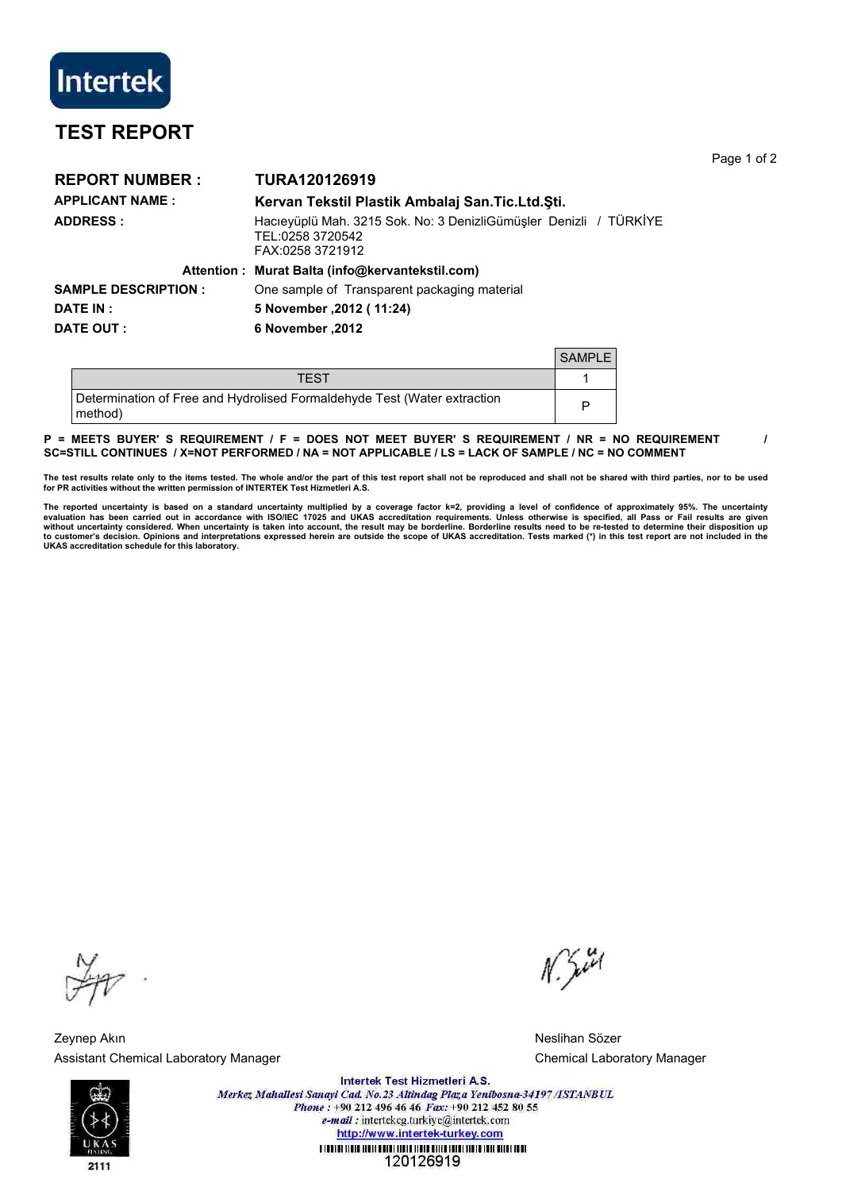

## **TEST REPORT**

**REPORT NUMBER : TURA120126919 APPLICANT NAME : Kervan Tekstil Plastik Ambalaj San.Tic.Ltd.Şti. ADDRESS :** Hacıeyüplü Mah. 3215 Sok. No: 3 DenizliGümüşler Denizli / TÜRKİYE TEL:0258 3720542 FAX:0258 3721912 **Attention : Murat Balta (info@kervantekstil.com) SAMPLE DESCRIPTION :** One sample of Transparent packaging material **DATE IN : 5 November ,2012 ( 11:24) DATE OUT : 6 November ,2012**  $S$ AMPLE

|                                                                                     | - <b>UI NYIL</b> |
|-------------------------------------------------------------------------------------|------------------|
| TEST                                                                                |                  |
| Determination of Free and Hydrolised Formaldehyde Test (Water extraction<br>method) |                  |

## P = MEETS BUYER' S REQUIREMENT / F = DOES NOT MEET BUYER' S REQUIREMENT / NR = NO REQUIREMENT / **SC=STILL CONTINUES / X=NOT PERFORMED / NA = NOT APPLICABLE / LS = LACK OF SAMPLE / NC = NO COMMENT**

The test results relate only to the items tested. The whole and/or the part of this test report shall not be reproduced and shall not be shared with third parties, nor to be used<br>for PR activities without the written permi

The reported uncertainty is based on a standard uncertainty multiplied by a coverage factor k=2, providing a level of confidence of approximately 95%. The uncertainty<br>evaluation has been carried out in accordance with ISO without uncertainty considered. When uncertainty is taken into account, the result may be borderline. Borderline results need to be re-tested to determine their disposition up<br>to customer's decision. Opinions and interpret **UKAS accreditation schedule for this laboratory.**

Zeynep Akın Neslihan Sözer Assistant Chemical Laboratory Manager Chemical Laboratory Manager Chemical Laboratory Manager

 $N.$  Just

Page 1 of 2



Intertek Test Hizmetleri A.S. Merkez Mahallesi Sanayi Cad. No.23 Altindag Plaza Yenibosna-34197/ISTANBUL Phone: +90 212 496 46 46 Fax: +90 212 452 80 55 e-mail: intertekcg.turkiye@intertek.com http://www.intertek-turkey.com <u>T TODIUM TEDIO TEDIO DOMENIA TEDIO DE TEDIO DE DE TEDIO TEDIO E TEDIO DE TEDIO DE TEDIO DE TEDIO DE TEDIO DE </u> 120126919